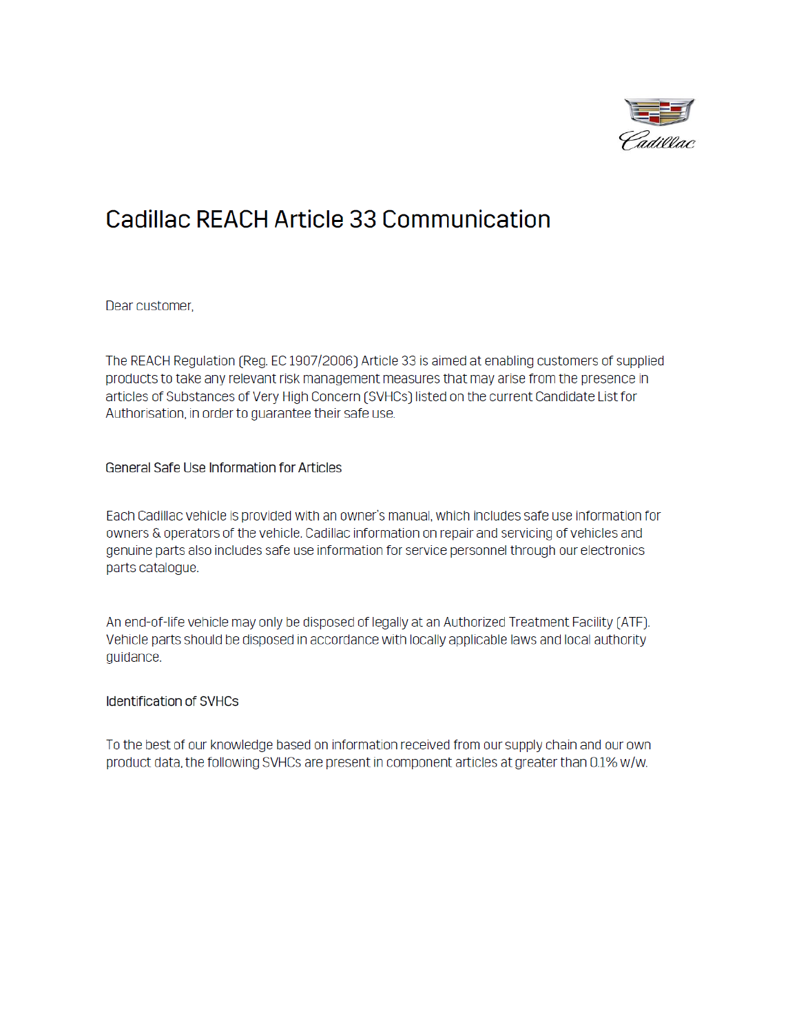

## **Cadillac REACH Article 33 Communication**

Dear customer,

The REACH Regulation (Reg. EC 1907/2006) Article 33 is aimed at enabling customers of supplied products to take any relevant risk management measures that may arise from the presence in articles of Substances of Very High Concern (SVHCs) listed on the current Candidate List for Authorisation, in order to guarantee their safe use.

General Safe Use Information for Articles

Each Cadillac vehicle is provided with an owner's manual, which includes safe use information for owners & operators of the vehicle. Cadillac information on repair and servicing of vehicles and genuine parts also includes safe use information for service personnel through our electronics parts catalogue.

An end-of-life vehicle may only be disposed of legally at an Authorized Treatment Facility (ATF). Vehicle parts should be disposed in accordance with locally applicable laws and local authority guidance.

## **Identification of SVHCs**

To the best of our knowledge based on information received from our supply chain and our own product data, the following SVHCs are present in component articles at greater than 0.1% w/w.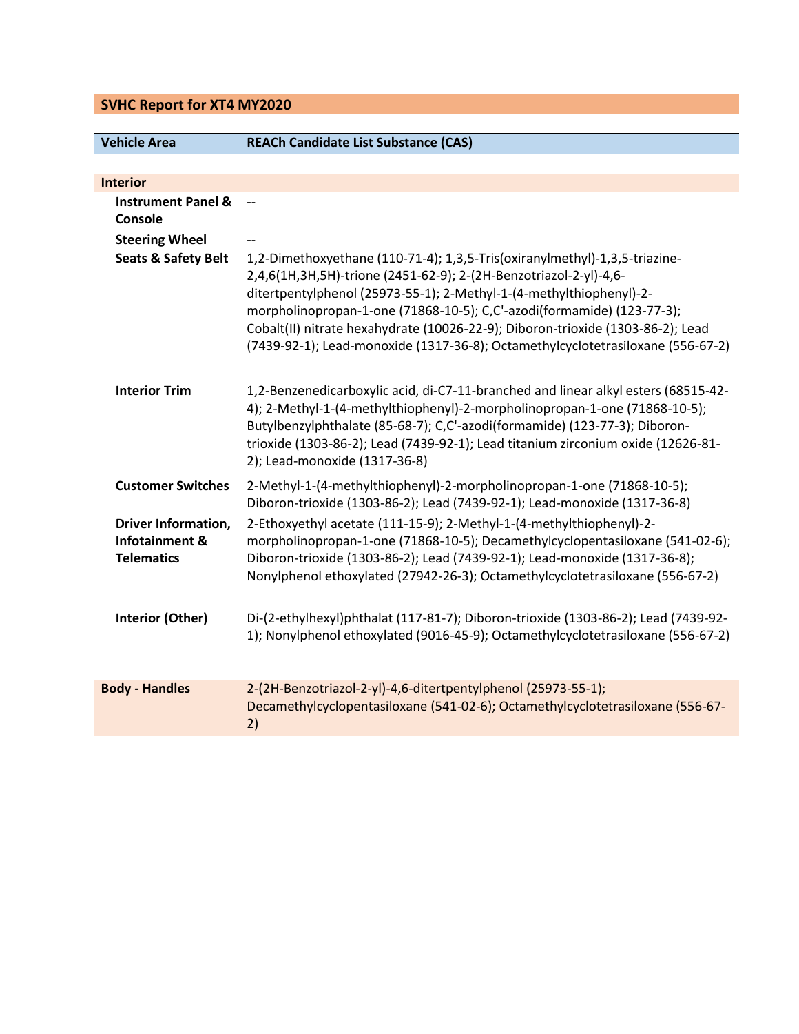## **SVHC Report for XT4 MY2020**

## **Vehicle Area REACh Candidate List Substance (CAS)**

| <b>Interior</b>                                                   |                                                                                                                                                                                                                                                                                                                                                                                                                                                                        |
|-------------------------------------------------------------------|------------------------------------------------------------------------------------------------------------------------------------------------------------------------------------------------------------------------------------------------------------------------------------------------------------------------------------------------------------------------------------------------------------------------------------------------------------------------|
| <b>Instrument Panel &amp;</b><br>Console                          | $\overline{\phantom{a}}$                                                                                                                                                                                                                                                                                                                                                                                                                                               |
| <b>Steering Wheel</b>                                             |                                                                                                                                                                                                                                                                                                                                                                                                                                                                        |
| <b>Seats &amp; Safety Belt</b>                                    | 1,2-Dimethoxyethane (110-71-4); 1,3,5-Tris(oxiranylmethyl)-1,3,5-triazine-<br>2,4,6(1H,3H,5H)-trione (2451-62-9); 2-(2H-Benzotriazol-2-yl)-4,6-<br>ditertpentylphenol (25973-55-1); 2-Methyl-1-(4-methylthiophenyl)-2-<br>morpholinopropan-1-one (71868-10-5); C,C'-azodi(formamide) (123-77-3);<br>Cobalt(II) nitrate hexahydrate (10026-22-9); Diboron-trioxide (1303-86-2); Lead<br>(7439-92-1); Lead-monoxide (1317-36-8); Octamethylcyclotetrasiloxane (556-67-2) |
| <b>Interior Trim</b>                                              | 1,2-Benzenedicarboxylic acid, di-C7-11-branched and linear alkyl esters (68515-42-<br>4); 2-Methyl-1-(4-methylthiophenyl)-2-morpholinopropan-1-one (71868-10-5);<br>Butylbenzylphthalate (85-68-7); C,C'-azodi(formamide) (123-77-3); Diboron-<br>trioxide (1303-86-2); Lead (7439-92-1); Lead titanium zirconium oxide (12626-81-<br>2); Lead-monoxide (1317-36-8)                                                                                                    |
| <b>Customer Switches</b>                                          | 2-Methyl-1-(4-methylthiophenyl)-2-morpholinopropan-1-one (71868-10-5);<br>Diboron-trioxide (1303-86-2); Lead (7439-92-1); Lead-monoxide (1317-36-8)                                                                                                                                                                                                                                                                                                                    |
| <b>Driver Information,</b><br>Infotainment &<br><b>Telematics</b> | 2-Ethoxyethyl acetate (111-15-9); 2-Methyl-1-(4-methylthiophenyl)-2-<br>morpholinopropan-1-one (71868-10-5); Decamethylcyclopentasiloxane (541-02-6);<br>Diboron-trioxide (1303-86-2); Lead (7439-92-1); Lead-monoxide (1317-36-8);<br>Nonylphenol ethoxylated (27942-26-3); Octamethylcyclotetrasiloxane (556-67-2)                                                                                                                                                   |
| Interior (Other)                                                  | Di-(2-ethylhexyl)phthalat (117-81-7); Diboron-trioxide (1303-86-2); Lead (7439-92-<br>1); Nonylphenol ethoxylated (9016-45-9); Octamethylcyclotetrasiloxane (556-67-2)                                                                                                                                                                                                                                                                                                 |
| <b>Body - Handles</b>                                             | 2-(2H-Benzotriazol-2-yl)-4,6-ditertpentylphenol (25973-55-1);<br>Decamethylcyclopentasiloxane (541-02-6); Octamethylcyclotetrasiloxane (556-67-<br>2)                                                                                                                                                                                                                                                                                                                  |
|                                                                   |                                                                                                                                                                                                                                                                                                                                                                                                                                                                        |